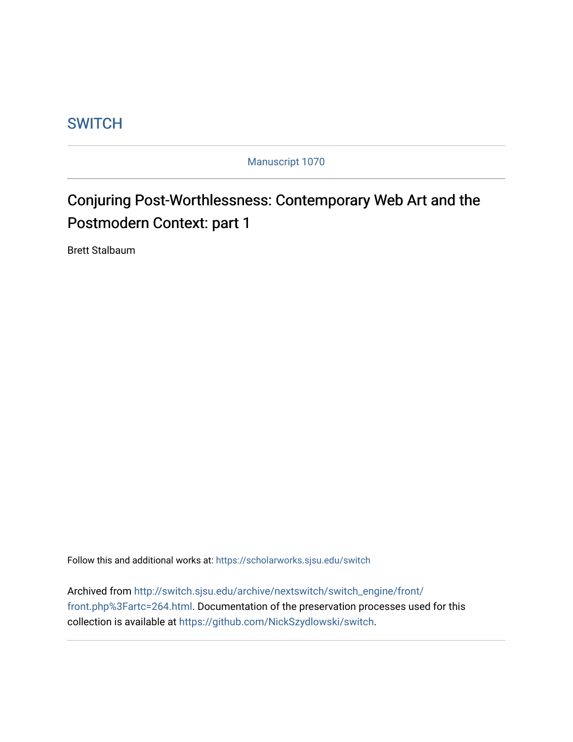## **SWITCH**

Manuscript 1070

# Conjuring Post-Worthlessness: Contemporary Web Art and the Postmodern Context: part 1

Brett Stalbaum

Follow this and additional works at: [https://scholarworks.sjsu.edu/switch](https://scholarworks.sjsu.edu/switch?utm_source=scholarworks.sjsu.edu%2Fswitch%2Fvol7%2Fiss1%2F2&utm_medium=PDF&utm_campaign=PDFCoverPages)

Archived from [http://switch.sjsu.edu/archive/nextswitch/switch\\_engine/front/](http://switch.sjsu.edu/archive/nextswitch/switch_engine/front/front.php%3Fartc=264.html) [front.php%3Fartc=264.html.](http://switch.sjsu.edu/archive/nextswitch/switch_engine/front/front.php%3Fartc=264.html) Documentation of the preservation processes used for this collection is available at [https://github.com/NickSzydlowski/switch.](https://github.com/NickSzydlowski/switch)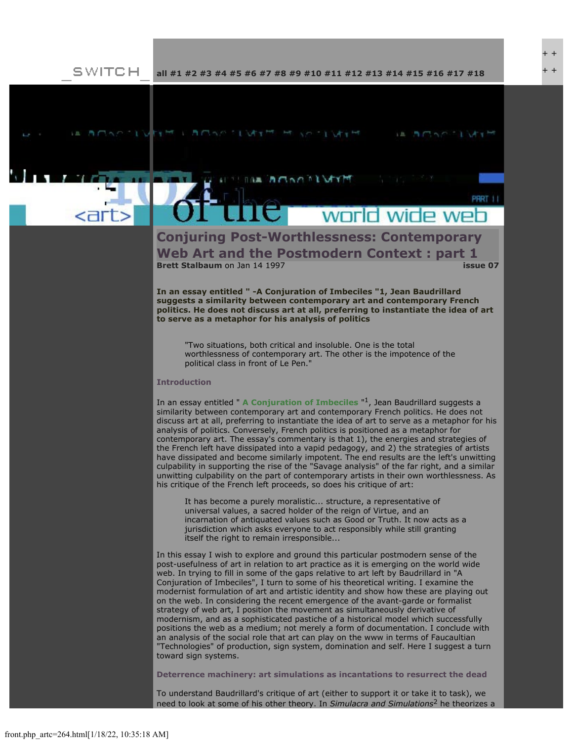$+$ 

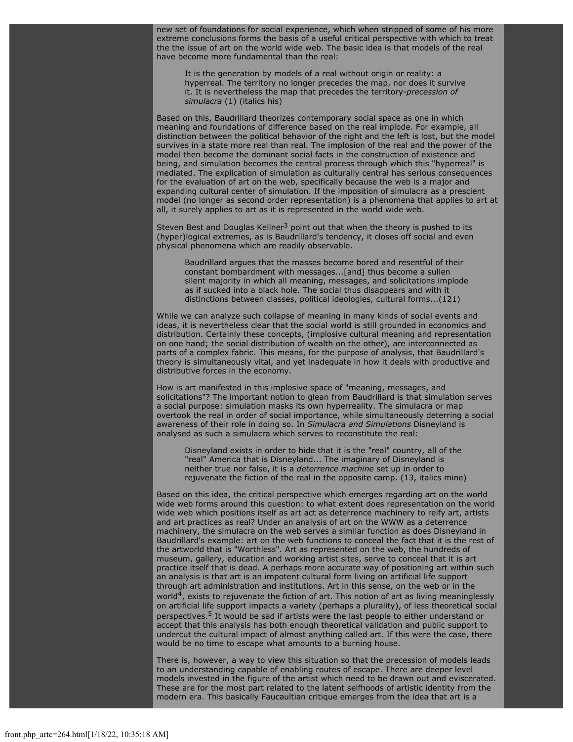new set of foundations for social experience, which when stripped of some of his more extreme conclusions forms the basis of a useful critical perspective with which to treat the the issue of art on the world wide web. The basic idea is that models of the real have become more fundamental than the real:

It is the generation by models of a real without origin or reality: a hyperreal. The territory no longer precedes the map, nor does it survive it. It is nevertheless the map that precedes the territory-*precession of simulacra* (1) (italics his)

Based on this, Baudrillard theorizes contemporary social space as one in which meaning and foundations of difference based on the real implode. For example, all distinction between the political behavior of the right and the left is lost, but the model survives in a state more real than real. The implosion of the real and the power of the model then become the dominant social facts in the construction of existence and being, and simulation becomes the central process through which this "hyperreal" is mediated. The explication of simulation as culturally central has serious consequences for the evaluation of art on the web, specifically because the web is a major and expanding cultural center of simulation. If the imposition of simulacra as a prescient model (no longer as second order representation) is a phenomena that applies to art at all, it surely applies to art as it is represented in the world wide web.

Steven Best and Douglas Kellner<sup>3</sup> point out that when the theory is pushed to its (hyper)logical extremes, as is Baudrillard's tendency, it closes off social and even physical phenomena which are readily observable.

Baudrillard argues that the masses become bored and resentful of their constant bombardment with messages...[and] thus become a sullen silent majority in which all meaning, messages, and solicitations implode as if sucked into a black hole. The social thus disappears and with it distinctions between classes, political ideologies, cultural forms...(121)

While we can analyze such collapse of meaning in many kinds of social events and ideas, it is nevertheless clear that the social world is still grounded in economics and distribution. Certainly these concepts, (implosive cultural meaning and representation on one hand; the social distribution of wealth on the other), are interconnected as parts of a complex fabric. This means, for the purpose of analysis, that Baudrillard's theory is simultaneously vital, and yet inadequate in how it deals with productive and distributive forces in the economy.

How is art manifested in this implosive space of "meaning, messages, and solicitations"? The important notion to glean from Baudrillard is that simulation serves a social purpose: simulation masks its own hyperreality. The simulacra or map overtook the real in order of social importance, while simultaneously deterring a social awareness of their role in doing so. In *Simulacra and Simulations* Disneyland is analysed as such a simulacra which serves to reconstitute the real:

Disneyland exists in order to hide that it is the "real" country, all of the "real" America that is Disneyland... The imaginary of Disneyland is neither true nor false, it is a *deterrence machine* set up in order to rejuvenate the fiction of the real in the opposite camp. (13, italics mine)

Based on this idea, the critical perspective which emerges regarding art on the world wide web forms around this question: to what extent does representation on the world wide web which positions itself as art act as deterrence machinery to reify art, artists and art practices as real? Under an analysis of art on the WWW as a deterrence machinery, the simulacra on the web serves a similar function as does Disneyland in Baudrillard's example: art on the web functions to conceal the fact that it is the rest of the artworld that is "Worthless". Art as represented on the web, the hundreds of museum, gallery, education and working artist sites, serve to conceal that it is art practice itself that is dead. A perhaps more accurate way of positioning art within such an analysis is that art is an impotent cultural form living on artificial life support through art administration and institutions. Art in this sense, on the web or in the world<sup>4</sup>, exists to rejuvenate the fiction of art. This notion of art as living meaninglessly on artificial life support impacts a variety (perhaps a plurality), of less theoretical social perspectives.<sup>5</sup> It would be sad if artists were the last people to either understand or accept that this analysis has both enough theoretical validation and public support to undercut the cultural impact of almost anything called art. If this were the case, there would be no time to escape what amounts to a burning house.

There is, however, a way to view this situation so that the precession of models leads to an understanding capable of enabling routes of escape. There are deeper level models invested in the figure of the artist which need to be drawn out and eviscerated. These are for the most part related to the latent selfhoods of artistic identity from the modern era. This basically Faucaultian critique emerges from the idea that art is a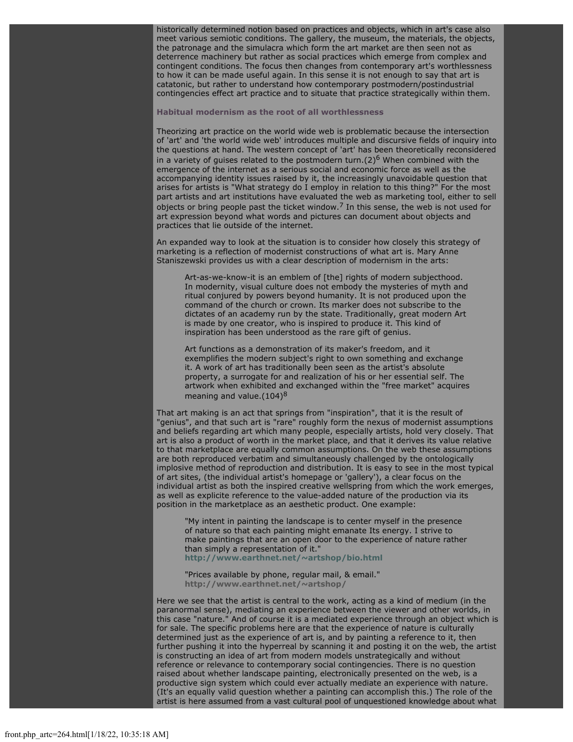historically determined notion based on practices and objects, which in art's case also meet various semiotic conditions. The gallery, the museum, the materials, the objects, the patronage and the simulacra which form the art market are then seen not as deterrence machinery but rather as social practices which emerge from complex and contingent conditions. The focus then changes from contemporary art's worthlessness to how it can be made useful again. In this sense it is not enough to say that art is catatonic, but rather to understand how contemporary postmodern/postindustrial contingencies effect art practice and to situate that practice strategically within them.

#### **Habitual modernism as the root of all worthlessness**

Theorizing art practice on the world wide web is problematic because the intersection of 'art' and 'the world wide web' introduces multiple and discursive fields of inquiry into the questions at hand. The western concept of 'art' has been theoretically reconsidered in a variety of guises related to the postmodern turn. $(2)^6$  When combined with the emergence of the internet as a serious social and economic force as well as the accompanying identity issues raised by it, the increasingly unavoidable question that arises for artists is "What strategy do I employ in relation to this thing?" For the most part artists and art institutions have evaluated the web as marketing tool, either to sell objects or bring people past the ticket window.<sup>7</sup> In this sense, the web is not used for art expression beyond what words and pictures can document about objects and practices that lie outside of the internet.

An expanded way to look at the situation is to consider how closely this strategy of marketing is a reflection of modernist constructions of what art is. Mary Anne Staniszewski provides us with a clear description of modernism in the arts:

Art-as-we-know-it is an emblem of [the] rights of modern subjecthood. In modernity, visual culture does not embody the mysteries of myth and ritual conjured by powers beyond humanity. It is not produced upon the command of the church or crown. Its marker does not subscribe to the dictates of an academy run by the state. Traditionally, great modern Art is made by one creator, who is inspired to produce it. This kind of inspiration has been understood as the rare gift of genius.

Art functions as a demonstration of its maker's freedom, and it exemplifies the modern subject's right to own something and exchange it. A work of art has traditionally been seen as the artist's absolute property, a surrogate for and realization of his or her essential self. The artwork when exhibited and exchanged within the "free market" acquires meaning and value. $(104)^8$ 

That art making is an act that springs from "inspiration", that it is the result of "genius", and that such art is "rare" roughly form the nexus of modernist assumptions and beliefs regarding art which many people, especially artists, hold very closely. That art is also a product of worth in the market place, and that it derives its value relative to that marketplace are equally common assumptions. On the web these assumptions are both reproduced verbatim and simultaneously challenged by the ontologically implosive method of reproduction and distribution. It is easy to see in the most typical of art sites, (the individual artist's homepage or 'gallery'), a clear focus on the individual artist as both the inspired creative wellspring from which the work emerges, as well as explicite reference to the value-added nature of the production via its position in the marketplace as an aesthetic product. One example:

"My intent in painting the landscape is to center myself in the presence of nature so that each painting might emanate Its energy. I strive to make paintings that are an open door to the experience of nature rather than simply a representation of it." **<http://www.earthnet.net/~artshop/bio.html>**

"Prices available by phone, regular mail, & email." **<http://www.earthnet.net/~artshop/>**

Here we see that the artist is central to the work, acting as a kind of medium (in the paranormal sense), mediating an experience between the viewer and other worlds, in this case "nature." And of course it is a mediated experience through an object which is for sale. The specific problems here are that the experience of nature is culturally determined just as the experience of art is, and by painting a reference to it, then further pushing it into the hyperreal by scanning it and posting it on the web, the artist is constructing an idea of art from modern models unstrategically and without reference or relevance to contemporary social contingencies. There is no question raised about whether landscape painting, electronically presented on the web, is a productive sign system which could ever actually mediate an experience with nature. (It's an equally valid question whether a painting can accomplish this.) The role of the artist is here assumed from a vast cultural pool of unquestioned knowledge about what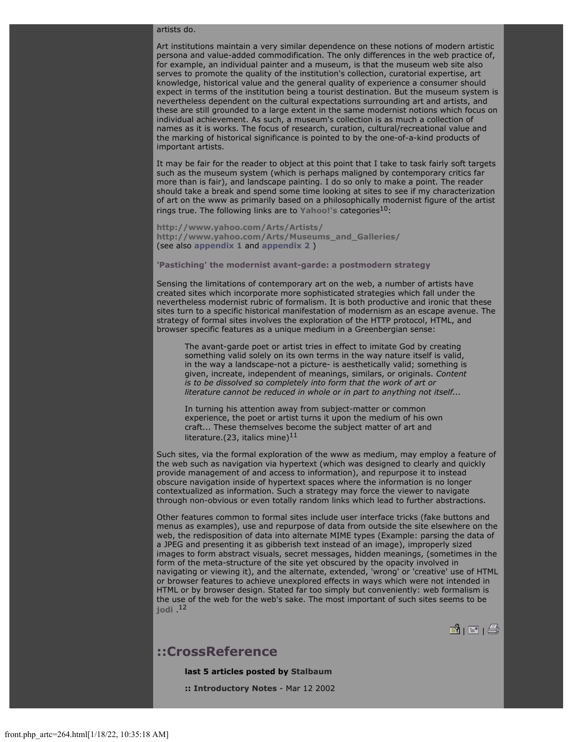#### artists do.

Art institutions maintain a very similar dependence on these notions of modern artistic persona and value-added commodification. The only differences in the web practice of, for example, an individual painter and a museum, is that the museum web site also serves to promote the quality of the institution's collection, curatorial expertise, art knowledge, historical value and the general quality of experience a consumer should expect in terms of the institution being a tourist destination. But the museum system is nevertheless dependent on the cultural expectations surrounding art and artists, and these are still grounded to a large extent in the same modernist notions which focus on individual achievement. As such, a museum's collection is as much a collection of names as it is works. The focus of research, curation, cultural/recreational value and the marking of historical significance is pointed to by the one-of-a-kind products of important artists.

It may be fair for the reader to object at this point that I take to task fairly soft targets such as the museum system (which is perhaps maligned by contemporary critics far more than is fair), and landscape painting. I do so only to make a point. The reader should take a break and spend some time looking at sites to see if my characterization of art on the www as primarily based on a philosophically modernist figure of the artist rings true. The following links are to [Yahoo!'s](http://www.yahoo.com/) categories<sup>10</sup>:

**<http://www.yahoo.com/Arts/Artists/> [http://www.yahoo.com/Arts/Museums\\_and\\_Galleries/](http://www.yahoo.com/Arts/Museums_and_Galleries/)** (see also **[appendix 1](file:///Users/nszydlowski/Desktop/websites%20copy/Switch%20Journal/switch.sjsu.edu/archive/web/art.online2/brett.links/YArchive/Yahoo%21ArtsVisual.html)** and **[appendix 2](file:///Users/nszydlowski/Desktop/websites%20copy/Switch%20Journal/switch.sjsu.edu/archive/web/art.online2/brett.links/YArchive/Yahoo%21ArtsMuseums.html)** )

#### **'Pastiching' the modernist avant-garde: a postmodern strategy**

Sensing the limitations of contemporary art on the web, a number of artists have created sites which incorporate more sophisticated strategies which fall under the nevertheless modernist rubric of formalism. It is both productive and ironic that these sites turn to a specific historical manifestation of modernism as an escape avenue. The strategy of formal sites involves the exploration of the HTTP protocol, HTML, and browser specific features as a unique medium in a Greenbergian sense:

The avant-garde poet or artist tries in effect to imitate God by creating something valid solely on its own terms in the way nature itself is valid, in the way a landscape-not a picture- is aesthetically valid; something is given, increate, independent of meanings, similars, or originals. *Content is to be dissolved so completely into form that the work of art or literature cannot be reduced in whole or in part to anything not itself...*

In turning his attention away from subject-matter or common experience, the poet or artist turns it upon the medium of his own craft... These themselves become the subject matter of art and literature.(23, italics mine) $^{11}$ 

Such sites, via the formal exploration of the www as medium, may employ a feature of the web such as navigation via hypertext (which was designed to clearly and quickly provide management of and access to information), and repurpose it to instead obscure navigation inside of hypertext spaces where the information is no longer contextualized as information. Such a strategy may force the viewer to navigate through non-obvious or even totally random links which lead to further abstractions.

Other features common to formal sites include user interface tricks (fake buttons and menus as examples), use and repurpose of data from outside the site elsewhere on the web, the redisposition of data into alternate MIME types (Example: parsing the data of a JPEG and presenting it as gibberish text instead of an image), improperly sized images to form abstract visuals, secret messages, hidden meanings, (sometimes in the form of the meta-structure of the site yet obscured by the opacity involved in navigating or viewing it), and the alternate, extended, 'wrong' or 'creative' use of HTML or browser features to achieve unexplored effects in ways which were not intended in HTML or by browser design. Stated far too simply but conveniently: web formalism is the use of the web for the web's sake. The most important of such sites seems to be **[jodi](http://www.jodi.org/)** .12

 $| \mathbf{B} |$   $| \mathbf{B} |$   $| \mathbf{B} |$ 

### **::CrossReference**

**last 5 articles posted by [Stalbaum](file:///Users/nszydlowski/Desktop/websites%20copy/Switch%20Journal/switch.sjsu.edu/archive/nextswitch/switch_engine/front/users.php_w%3d19.html)**

**:: [Introductory Notes](file:///Users/nszydlowski/Desktop/websites%20copy/Switch%20Journal/switch.sjsu.edu/archive/nextswitch/switch_engine/front/front.php_artc%3d239.html)** - Mar 12 2002